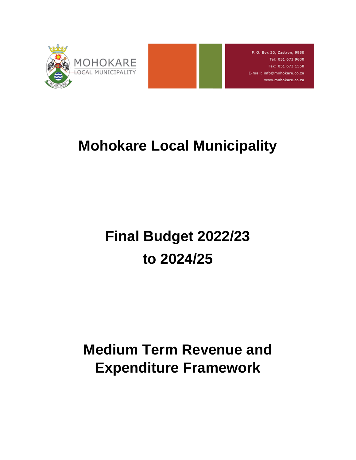

P. O. Box 20, Zastron, 9950 Tel: 051 673 9600 Fax: 051 673 1550 E-mail: info@mohokare.co.za www.mohokare.co.za

## **Mohokare Local Municipality**

# **Final Budget 2022/23 to 2024/25**

## **Medium Term Revenue and Expenditure Framework**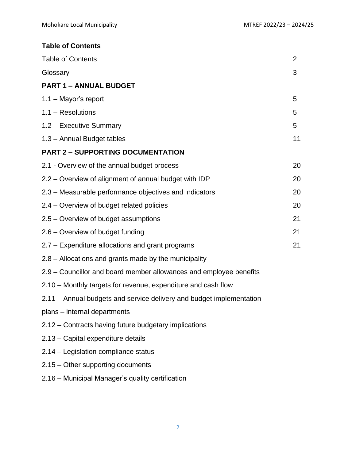## **Table of Contents**

| <b>Table of Contents</b>                                             | 2  |
|----------------------------------------------------------------------|----|
| Glossary                                                             | 3  |
| <b>PART 1 - ANNUAL BUDGET</b>                                        |    |
| $1.1 -$ Mayor's report                                               | 5  |
| $1.1 - Resolutions$                                                  | 5  |
| 1.2 - Executive Summary                                              | 5  |
| 1.3 - Annual Budget tables                                           | 11 |
| <b>PART 2 - SUPPORTING DOCUMENTATION</b>                             |    |
| 2.1 - Overview of the annual budget process                          | 20 |
| 2.2 – Overview of alignment of annual budget with IDP                | 20 |
| 2.3 – Measurable performance objectives and indicators               | 20 |
| 2.4 - Overview of budget related policies                            | 20 |
| 2.5 – Overview of budget assumptions                                 | 21 |
| 2.6 – Overview of budget funding                                     | 21 |
| 2.7 – Expenditure allocations and grant programs                     | 21 |
| 2.8 – Allocations and grants made by the municipality                |    |
| 2.9 – Councillor and board member allowances and employee benefits   |    |
| 2.10 – Monthly targets for revenue, expenditure and cash flow        |    |
| 2.11 – Annual budgets and service delivery and budget implementation |    |
| plans - internal departments                                         |    |
| 2.12 – Contracts having future budgetary implications                |    |
| 2.13 - Capital expenditure details                                   |    |
| 2.14 – Legislation compliance status                                 |    |
| 2.15 - Other supporting documents                                    |    |
| 2.16 – Municipal Manager's quality certification                     |    |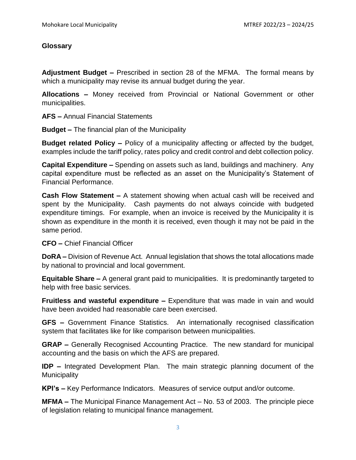#### **Glossary**

**Adjustment Budget –** Prescribed in section 28 of the MFMA. The formal means by which a municipality may revise its annual budget during the year.

**Allocations –** Money received from Provincial or National Government or other municipalities.

**AFS –** Annual Financial Statements

**Budget –** The financial plan of the Municipality

**Budget related Policy –** Policy of a municipality affecting or affected by the budget, examples include the tariff policy, rates policy and credit control and debt collection policy.

**Capital Expenditure –** Spending on assets such as land, buildings and machinery. Any capital expenditure must be reflected as an asset on the Municipality's Statement of Financial Performance.

**Cash Flow Statement –** A statement showing when actual cash will be received and spent by the Municipality. Cash payments do not always coincide with budgeted expenditure timings. For example, when an invoice is received by the Municipality it is shown as expenditure in the month it is received, even though it may not be paid in the same period.

**CFO –** Chief Financial Officer

**DoRA –** Division of Revenue Act. Annual legislation that shows the total allocations made by national to provincial and local government.

**Equitable Share –** A general grant paid to municipalities. It is predominantly targeted to help with free basic services.

**Fruitless and wasteful expenditure –** Expenditure that was made in vain and would have been avoided had reasonable care been exercised.

**GFS –** Government Finance Statistics. An internationally recognised classification system that facilitates like for like comparison between municipalities.

**GRAP –** Generally Recognised Accounting Practice. The new standard for municipal accounting and the basis on which the AFS are prepared.

**IDP –** Integrated Development Plan. The main strategic planning document of the **Municipality** 

**KPI's –** Key Performance Indicators. Measures of service output and/or outcome.

**MFMA –** The Municipal Finance Management Act – No. 53 of 2003. The principle piece of legislation relating to municipal finance management.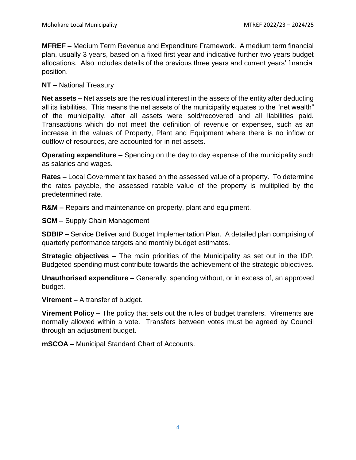**MFREF –** Medium Term Revenue and Expenditure Framework. A medium term financial plan, usually 3 years, based on a fixed first year and indicative further two years budget allocations. Also includes details of the previous three years and current years' financial position.

#### **NT –** National Treasury

**Net assets –** Net assets are the residual interest in the assets of the entity after deducting all its liabilities. This means the net assets of the municipality equates to the "net wealth" of the municipality, after all assets were sold/recovered and all liabilities paid. Transactions which do not meet the definition of revenue or expenses, such as an increase in the values of Property, Plant and Equipment where there is no inflow or outflow of resources, are accounted for in net assets.

**Operating expenditure –** Spending on the day to day expense of the municipality such as salaries and wages.

**Rates –** Local Government tax based on the assessed value of a property. To determine the rates payable, the assessed ratable value of the property is multiplied by the predetermined rate.

**R&M –** Repairs and maintenance on property, plant and equipment.

**SCM –** Supply Chain Management

**SDBIP –** Service Deliver and Budget Implementation Plan. A detailed plan comprising of quarterly performance targets and monthly budget estimates.

**Strategic objectives –** The main priorities of the Municipality as set out in the IDP. Budgeted spending must contribute towards the achievement of the strategic objectives.

**Unauthorised expenditure –** Generally, spending without, or in excess of, an approved budget.

**Virement –** A transfer of budget.

**Virement Policy –** The policy that sets out the rules of budget transfers. Virements are normally allowed within a vote. Transfers between votes must be agreed by Council through an adjustment budget.

**mSCOA –** Municipal Standard Chart of Accounts.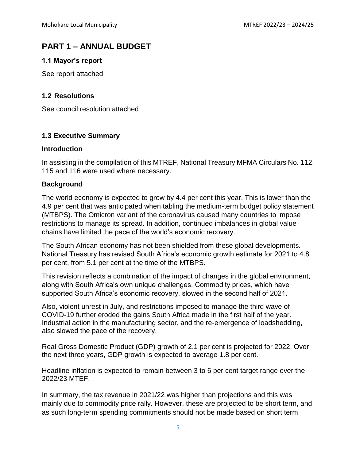## **PART 1 – ANNUAL BUDGET**

#### **1.1 Mayor's report**

See report attached

#### **1.2 Resolutions**

See council resolution attached

#### **1.3 Executive Summary**

#### **Introduction**

In assisting in the compilation of this MTREF, National Treasury MFMA Circulars No. 112, 115 and 116 were used where necessary.

#### **Background**

The world economy is expected to grow by 4.4 per cent this year. This is lower than the 4.9 per cent that was anticipated when tabling the medium-term budget policy statement (MTBPS). The Omicron variant of the coronavirus caused many countries to impose restrictions to manage its spread. In addition, continued imbalances in global value chains have limited the pace of the world's economic recovery.

The South African economy has not been shielded from these global developments. National Treasury has revised South Africa's economic growth estimate for 2021 to 4.8 per cent, from 5.1 per cent at the time of the MTBPS.

This revision reflects a combination of the impact of changes in the global environment, along with South Africa's own unique challenges. Commodity prices, which have supported South Africa's economic recovery, slowed in the second half of 2021.

Also, violent unrest in July, and restrictions imposed to manage the third wave of COVID-19 further eroded the gains South Africa made in the first half of the year. Industrial action in the manufacturing sector, and the re-emergence of loadshedding, also slowed the pace of the recovery.

Real Gross Domestic Product (GDP) growth of 2.1 per cent is projected for 2022. Over the next three years, GDP growth is expected to average 1.8 per cent.

Headline inflation is expected to remain between 3 to 6 per cent target range over the 2022/23 MTEF.

In summary, the tax revenue in 2021/22 was higher than projections and this was mainly due to commodity price rally. However, these are projected to be short term, and as such long-term spending commitments should not be made based on short term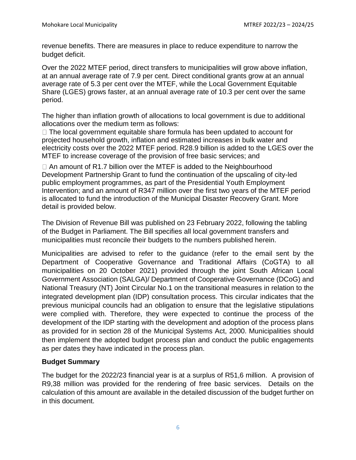revenue benefits. There are measures in place to reduce expenditure to narrow the budget deficit.

Over the 2022 MTEF period, direct transfers to municipalities will grow above inflation, at an annual average rate of 7.9 per cent. Direct conditional grants grow at an annual average rate of 5.3 per cent over the MTEF, while the Local Government Equitable Share (LGES) grows faster, at an annual average rate of 10.3 per cent over the same period.

The higher than inflation growth of allocations to local government is due to additional allocations over the medium term as follows:

 $\Box$  The local government equitable share formula has been updated to account for projected household growth, inflation and estimated increases in bulk water and electricity costs over the 2022 MTEF period. R28.9 billion is added to the LGES over the MTEF to increase coverage of the provision of free basic services; and

 $\Box$  An amount of R1.7 billion over the MTEF is added to the Neighbourhood Development Partnership Grant to fund the continuation of the upscaling of city-led public employment programmes, as part of the Presidential Youth Employment Intervention; and an amount of R347 million over the first two years of the MTEF period is allocated to fund the introduction of the Municipal Disaster Recovery Grant. More detail is provided below.

The Division of Revenue Bill was published on 23 February 2022, following the tabling of the Budget in Parliament. The Bill specifies all local government transfers and municipalities must reconcile their budgets to the numbers published herein.

Municipalities are advised to refer to the guidance (refer to the email sent by the Department of Cooperative Governance and Traditional Affairs (CoGTA) to all municipalities on 20 October 2021) provided through the joint South African Local Government Association (SALGA)/ Department of Cooperative Governance (DCoG) and National Treasury (NT) Joint Circular No.1 on the transitional measures in relation to the integrated development plan (IDP) consultation process. This circular indicates that the previous municipal councils had an obligation to ensure that the legislative stipulations were complied with. Therefore, they were expected to continue the process of the development of the IDP starting with the development and adoption of the process plans as provided for in section 28 of the Municipal Systems Act, 2000. Municipalities should then implement the adopted budget process plan and conduct the public engagements as per dates they have indicated in the process plan.

## **Budget Summary**

The budget for the 2022/23 financial year is at a surplus of R51,6 million. A provision of R9,38 million was provided for the rendering of free basic services. Details on the calculation of this amount are available in the detailed discussion of the budget further on in this document.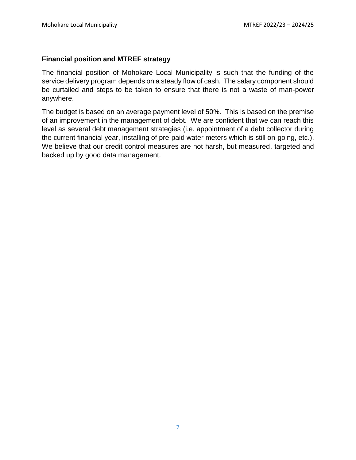#### **Financial position and MTREF strategy**

The financial position of Mohokare Local Municipality is such that the funding of the service delivery program depends on a steady flow of cash. The salary component should be curtailed and steps to be taken to ensure that there is not a waste of man-power anywhere.

The budget is based on an average payment level of 50%. This is based on the premise of an improvement in the management of debt. We are confident that we can reach this level as several debt management strategies (i.e. appointment of a debt collector during the current financial year, installing of pre-paid water meters which is still on-going, etc.). We believe that our credit control measures are not harsh, but measured, targeted and backed up by good data management.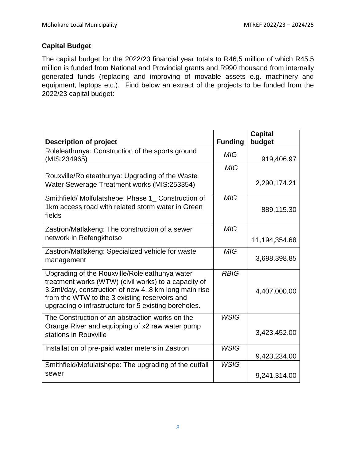## **Capital Budget**

The capital budget for the 2022/23 financial year totals to R46,5 million of which R45.5 million is funded from National and Provincial grants and R990 thousand from internally generated funds (replacing and improving of movable assets e.g. machinery and equipment, laptops etc.). Find below an extract of the projects to be funded from the 2022/23 capital budget:

| <b>Description of project</b>                                                                                                                                                                                                                                          | <b>Funding</b> | <b>Capital</b><br>budget |
|------------------------------------------------------------------------------------------------------------------------------------------------------------------------------------------------------------------------------------------------------------------------|----------------|--------------------------|
| Roleleathunya: Construction of the sports ground<br>(MIS:234965)                                                                                                                                                                                                       | <b>MIG</b>     | 919,406.97               |
| Rouxville/Roleteathunya: Upgrading of the Waste<br>Water Sewerage Treatment works (MIS:253354)                                                                                                                                                                         | <b>MIG</b>     | 2,290,174.21             |
| Smithfield/ Molfulatshepe: Phase 1_ Construction of<br>1km access road with related storm water in Green<br>fields                                                                                                                                                     | MIG            | 889,115.30               |
| Zastron/Matlakeng: The construction of a sewer<br>network in Refengkhotso                                                                                                                                                                                              | <b>MIG</b>     | 11,194,354.68            |
| Zastron/Matlakeng: Specialized vehicle for waste<br>management                                                                                                                                                                                                         | <b>MIG</b>     | 3,698,398.85             |
| Upgrading of the Rouxville/Roleleathunya water<br>treatment works (WTW) (civil works) to a capacity of<br>3.2ml/day, construction of new 48 km long main rise<br>from the WTW to the 3 existing reservoirs and<br>upgrading o infrastructure for 5 existing boreholes. | <b>RBIG</b>    | 4,407,000.00             |
| The Construction of an abstraction works on the<br>Orange River and equipping of x2 raw water pump<br>stations in Rouxville                                                                                                                                            | <b>WSIG</b>    | 3,423,452.00             |
| Installation of pre-paid water meters in Zastron                                                                                                                                                                                                                       | <b>WSIG</b>    | 9,423,234.00             |
| Smithfield/Mofulatshepe: The upgrading of the outfall<br>sewer                                                                                                                                                                                                         | <b>WSIG</b>    | 9,241,314.00             |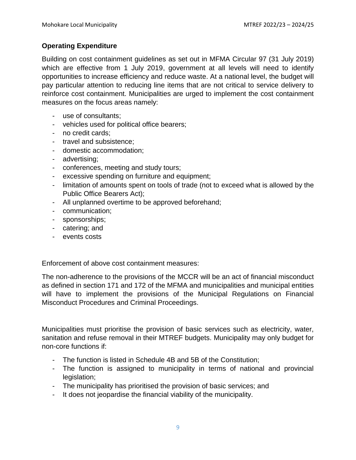#### **Operating Expenditure**

Building on cost containment guidelines as set out in MFMA Circular 97 (31 July 2019) which are effective from 1 July 2019, government at all levels will need to identify opportunities to increase efficiency and reduce waste. At a national level, the budget will pay particular attention to reducing line items that are not critical to service delivery to reinforce cost containment. Municipalities are urged to implement the cost containment measures on the focus areas namely:

- use of consultants;
- vehicles used for political office bearers;
- no credit cards;
- travel and subsistence;
- domestic accommodation;
- advertising;
- conferences, meeting and study tours;
- excessive spending on furniture and equipment;
- limitation of amounts spent on tools of trade (not to exceed what is allowed by the Public Office Bearers Act);
- All unplanned overtime to be approved beforehand;
- communication;
- sponsorships;
- catering; and
- events costs

Enforcement of above cost containment measures:

The non-adherence to the provisions of the MCCR will be an act of financial misconduct as defined in section 171 and 172 of the MFMA and municipalities and municipal entities will have to implement the provisions of the Municipal Regulations on Financial Misconduct Procedures and Criminal Proceedings.

Municipalities must prioritise the provision of basic services such as electricity, water, sanitation and refuse removal in their MTREF budgets. Municipality may only budget for non-core functions if:

- The function is listed in Schedule 4B and 5B of the Constitution;
- The function is assigned to municipality in terms of national and provincial legislation;
- The municipality has prioritised the provision of basic services; and
- It does not jeopardise the financial viability of the municipality.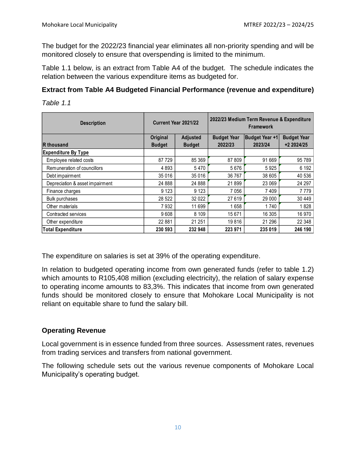The budget for the 2022/23 financial year eliminates all non-priority spending and will be monitored closely to ensure that overspending is limited to the minimum.

Table 1.1 below, is an extract from Table A4 of the budget. The schedule indicates the relation between the various expenditure items as budgeted for.

## **Extract from Table A4 Budgeted Financial Performance (revenue and expenditure)**

*Table 1.1*

| <b>Description</b>              | 2022/23 Medium Term Revenue & Expenditure<br>Current Year 2021/22<br><b>Framework</b> |                 |                    |                       |                    |
|---------------------------------|---------------------------------------------------------------------------------------|-----------------|--------------------|-----------------------|--------------------|
|                                 | <b>Original</b>                                                                       | <b>Adjusted</b> | <b>Budget Year</b> | <b>Budget Year +1</b> | <b>Budget Year</b> |
| R thousand                      | <b>Budget</b>                                                                         | <b>Budget</b>   | 2022/23            | 2023/24               | +2 2024/25         |
| <b>Expenditure By Type</b>      |                                                                                       |                 |                    |                       |                    |
| Employee related costs          | 87 729                                                                                | 85 369          | 87809              | 91 669                | 95 789             |
| Remuneration of councillors     | 4893                                                                                  | 5470            | 5676               | 5925                  | 6 1 9 2            |
| Debt impairment                 | 35 016                                                                                | 35 016          | 36 767             | 38 605                | 40 536             |
| Depreciation & asset impairment | 24 888                                                                                | 24 888          | 21899              | 23 069                | 24 297             |
| Finance charges                 | 9 1 2 3                                                                               | 9 1 2 3         | 7056               | 7 4 0 9               | 7779               |
| <b>Bulk purchases</b>           | 28 5 22                                                                               | 32 0 22         | 27619              | 29 000                | 30 449             |
| Other materials                 | 7932                                                                                  | 11 699          | 1658               | 1740                  | 1828               |
| Contracted services             | 9608                                                                                  | 8 1 0 9         | 15 671             | 16 305                | 16 970             |
| Other expenditure               | 22 881                                                                                | 21 251          | 19816              | 21 29 6               | 22 348             |
| <b>Total Expenditure</b>        | 230 593                                                                               | 232 948         | 223 971            | 235 019               | 246 190            |

The expenditure on salaries is set at 39% of the operating expenditure.

In relation to budgeted operating income from own generated funds (refer to table 1.2) which amounts to R105,408 million (excluding electricity), the relation of salary expense to operating income amounts to 83,3%. This indicates that income from own generated funds should be monitored closely to ensure that Mohokare Local Municipality is not reliant on equitable share to fund the salary bill.

## **Operating Revenue**

Local government is in essence funded from three sources. Assessment rates, revenues from trading services and transfers from national government.

The following schedule sets out the various revenue components of Mohokare Local Municipality's operating budget.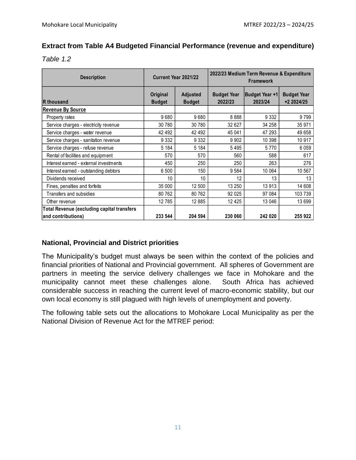## **Extract from Table A4 Budgeted Financial Performance (revenue and expenditure)**

*Table 1.2*

| <b>Description</b>                                | Current Year 2021/22      |                                  | 2022/23 Medium Term Revenue & Expenditure<br><b>Framework</b> |                           |                                  |
|---------------------------------------------------|---------------------------|----------------------------------|---------------------------------------------------------------|---------------------------|----------------------------------|
| R thousand                                        | Original<br><b>Budget</b> | <b>Adjusted</b><br><b>Budget</b> | <b>Budget Year</b><br>2022/23                                 | Budget Year +1<br>2023/24 | <b>Budget Year</b><br>+2 2024/25 |
| <b>Revenue By Source</b>                          |                           |                                  |                                                               |                           |                                  |
| Property rates                                    | 9680                      | 9680                             | 8888                                                          | 9 3 3 2                   | 9799                             |
| Service charges - electricity revenue             | 30 780                    | 30 780                           | 32 627                                                        | 34 258                    | 35 971                           |
| Service charges - water revenue                   | 42 492                    | 42 492                           | 45 041                                                        | 47 293                    | 49 658                           |
| Service charges - sanitation revenue              | 9 3 3 2                   | 9 3 3 2                          | 9 9 0 2                                                       | 10 398                    | 10917                            |
| Service charges - refuse revenue                  | 5 1 8 4                   | 5 1 8 4                          | 5495                                                          | 5770                      | 6 0 5 9                          |
| Rental of facilities and equipment                | 570                       | 570                              | 560                                                           | 588                       | 617                              |
| Interest earned - external investments            | 450                       | 250                              | 250                                                           | 263                       | 276                              |
| Interest earned - outstanding debtors             | 6 500                     | 150                              | 9584                                                          | 10 064                    | 10 567                           |
| Dividends received                                | 10                        | 10                               | 12                                                            | 13                        | 13                               |
| Fines, penalties and forfeits                     | 35 000                    | 12 500                           | 13 250                                                        | 13913                     | 14 608                           |
| Transfers and subsidies                           | 80 762                    | 80 762                           | 92 0 25                                                       | 97 084                    | 103 739                          |
| Other revenue                                     | 12785                     | 12 8 85                          | 12 4 25                                                       | 13 046                    | 13699                            |
| <b>Total Revenue (excluding capital transfers</b> |                           |                                  |                                                               |                           |                                  |
| and contributions)                                | 233 544                   | 204 594                          | 230 060                                                       | 242 020                   | 255 922                          |

## **National, Provincial and District priorities**

The Municipality's budget must always be seen within the context of the policies and financial priorities of National and Provincial government. All spheres of Government are partners in meeting the service delivery challenges we face in Mohokare and the municipality cannot meet these challenges alone. South Africa has achieved considerable success in reaching the current level of macro-economic stability, but our own local economy is still plagued with high levels of unemployment and poverty.

The following table sets out the allocations to Mohokare Local Municipality as per the National Division of Revenue Act for the MTREF period: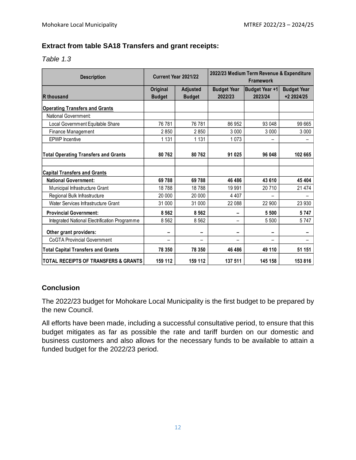## **Extract from table SA18 Transfers and grant receipts:**

*Table 1.3*

| <b>Description</b>                              | Current Year 2021/22      |                                  | 2022/23 Medium Term Revenue & Expenditure<br>Framework |                                  |                                  |
|-------------------------------------------------|---------------------------|----------------------------------|--------------------------------------------------------|----------------------------------|----------------------------------|
| R thousand                                      | Original<br><b>Budget</b> | <b>Adjusted</b><br><b>Budget</b> | <b>Budget Year</b><br>2022/23                          | <b>Budget Year +1</b><br>2023/24 | <b>Budget Year</b><br>+2 2024/25 |
| <b>Operating Transfers and Grants</b>           |                           |                                  |                                                        |                                  |                                  |
| National Government:                            |                           |                                  |                                                        |                                  |                                  |
| Local Government Equitable Share                | 76 781                    | 76 781                           | 86 952                                                 | 93 048                           | 99 665                           |
| Finance Management                              | 2850                      | 2850                             | 3 0 0 0                                                | 3 0 0 0                          | 3 0 0 0                          |
| <b>EPWP</b> Incentive                           | 1 1 3 1                   | 1 1 3 1                          | 1073                                                   |                                  |                                  |
| <b>Total Operating Transfers and Grants</b>     | 80762                     | 80762                            | 91 025                                                 | 96 048                           | 102 665                          |
| <b>Capital Transfers and Grants</b>             |                           |                                  |                                                        |                                  |                                  |
| <b>National Government:</b>                     | 69788                     | 69 788                           | 46 486                                                 | 43 610                           | 45 404                           |
| Municipal Infrastructure Grant                  | 18788                     | 18788                            | 19 991                                                 | 20710                            | 21 4 7 4                         |
| Regional Bulk Infrastructure                    | 20 000                    | 20 000                           | 4 4 0 7                                                |                                  |                                  |
| Water Services Infrastructure Grant             | 31 000                    | 31 000                           | 22 088                                                 | 22 900                           | 23 930                           |
| <b>Provincial Government:</b>                   | 8 5 6 2                   | 8 5 6 2                          |                                                        | 5 500                            | 5747                             |
| Integrated National Electrification Programme   | 8 5 6 2                   | 8 5 6 2                          |                                                        | 5 500                            | 5747                             |
| Other grant providers:                          | -                         | -                                | -                                                      | -                                |                                  |
| <b>CoGTA Provincial Government</b>              |                           | —                                |                                                        |                                  |                                  |
| <b>Total Capital Transfers and Grants</b>       | 78 350                    | 78 350                           | 46 486                                                 | 49 110                           | 51 151                           |
| <b>TOTAL RECEIPTS OF TRANSFERS &amp; GRANTS</b> | 159 112                   | 159 112                          | 137 511                                                | 145 158                          | 153 816                          |

## **Conclusion**

The 2022/23 budget for Mohokare Local Municipality is the first budget to be prepared by the new Council.

All efforts have been made, including a successful consultative period, to ensure that this budget mitigates as far as possible the rate and tariff burden on our domestic and business customers and also allows for the necessary funds to be available to attain a funded budget for the 2022/23 period.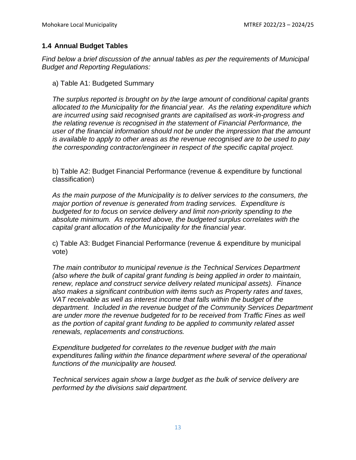## **1.4 Annual Budget Tables**

*Find below a brief discussion of the annual tables as per the requirements of Municipal Budget and Reporting Regulations:* 

a) Table A1: Budgeted Summary

*The surplus reported is brought on by the large amount of conditional capital grants allocated to the Municipality for the financial year. As the relating expenditure which are incurred using said recognised grants are capitalised as work-in-progress and the relating revenue is recognised in the statement of Financial Performance, the user of the financial information should not be under the impression that the amount is available to apply to other areas as the revenue recognised are to be used to pay the corresponding contractor/engineer in respect of the specific capital project.*

b) Table A2: Budget Financial Performance (revenue & expenditure by functional classification)

*As the main purpose of the Municipality is to deliver services to the consumers, the major portion of revenue is generated from trading services. Expenditure is budgeted for to focus on service delivery and limit non-priority spending to the absolute minimum. As reported above, the budgeted surplus correlates with the capital grant allocation of the Municipality for the financial year.*

c) Table A3: Budget Financial Performance (revenue & expenditure by municipal vote)

*The main contributor to municipal revenue is the Technical Services Department (also where the bulk of capital grant funding is being applied in order to maintain, renew, replace and construct service delivery related municipal assets). Finance also makes a significant contribution with items such as Property rates and taxes, VAT receivable as well as interest income that falls within the budget of the department. Included in the revenue budget of the Community Services Department are under more the revenue budgeted for to be received from Traffic Fines as well as the portion of capital grant funding to be applied to community related asset renewals, replacements and constructions.*

*Expenditure budgeted for correlates to the revenue budget with the main expenditures falling within the finance department where several of the operational functions of the municipality are housed.* 

*Technical services again show a large budget as the bulk of service delivery are performed by the divisions said department.*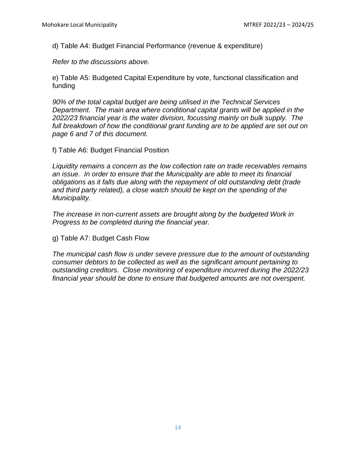d) Table A4: Budget Financial Performance (revenue & expenditure)

*Refer to the discussions above.*

e) Table A5: Budgeted Capital Expenditure by vote, functional classification and funding

*90% of the total capital budget are being utilised in the Technical Services Department. The main area where conditional capital grants will be applied in the 2022/23 financial year is the water division, focussing mainly on bulk supply. The*  full breakdown of how the conditional grant funding are to be applied are set out on *page 6 and 7 of this document.*

f) Table A6: Budget Financial Position

*Liquidity remains a concern as the low collection rate on trade receivables remains an issue. In order to ensure that the Municipality are able to meet its financial obligations as it falls due along with the repayment of old outstanding debt (trade and third party related), a close watch should be kept on the spending of the Municipality.*

*The increase in non-current assets are brought along by the budgeted Work in Progress to be completed during the financial year.*

g) Table A7: Budget Cash Flow

*The municipal cash flow is under severe pressure due to the amount of outstanding consumer debtors to be collected as well as the significant amount pertaining to outstanding creditors. Close monitoring of expenditure incurred during the 2022/23 financial year should be done to ensure that budgeted amounts are not overspent.*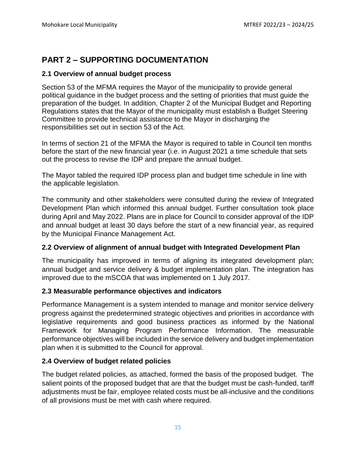## **PART 2 – SUPPORTING DOCUMENTATION**

## **2.1 Overview of annual budget process**

Section 53 of the MFMA requires the Mayor of the municipality to provide general political guidance in the budget process and the setting of priorities that must guide the preparation of the budget. In addition, Chapter 2 of the Municipal Budget and Reporting Regulations states that the Mayor of the municipality must establish a Budget Steering Committee to provide technical assistance to the Mayor in discharging the responsibilities set out in section 53 of the Act.

In terms of section 21 of the MFMA the Mayor is required to table in Council ten months before the start of the new financial year (i.e. in August 2021 a time schedule that sets out the process to revise the IDP and prepare the annual budget.

The Mayor tabled the required IDP process plan and budget time schedule in line with the applicable legislation.

The community and other stakeholders were consulted during the review of Integrated Development Plan which informed this annual budget. Further consultation took place during April and May 2022. Plans are in place for Council to consider approval of the IDP and annual budget at least 30 days before the start of a new financial year, as required by the Municipal Finance Management Act.

#### **2.2 Overview of alignment of annual budget with Integrated Development Plan**

The municipality has improved in terms of aligning its integrated development plan; annual budget and service delivery & budget implementation plan. The integration has improved due to the mSCOA that was implemented on 1 July 2017.

#### **2.3 Measurable performance objectives and indicators**

Performance Management is a system intended to manage and monitor service delivery progress against the predetermined strategic objectives and priorities in accordance with legislative requirements and good business practices as informed by the National Framework for Managing Program Performance Information. The measurable performance objectives will be included in the service delivery and budget implementation plan when it is submitted to the Council for approval.

## **2.4 Overview of budget related policies**

The budget related policies, as attached, formed the basis of the proposed budget. The salient points of the proposed budget that are that the budget must be cash-funded, tariff adjustments must be fair, employee related costs must be all-inclusive and the conditions of all provisions must be met with cash where required.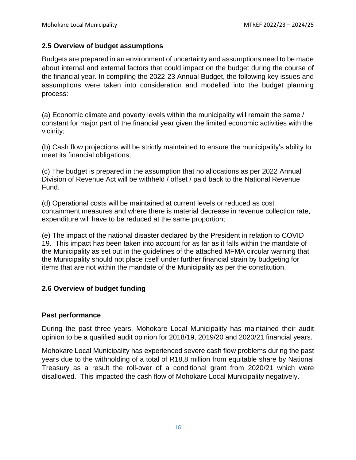#### **2.5 Overview of budget assumptions**

Budgets are prepared in an environment of uncertainty and assumptions need to be made about internal and external factors that could impact on the budget during the course of the financial year. In compiling the 2022-23 Annual Budget, the following key issues and assumptions were taken into consideration and modelled into the budget planning process:

(a) Economic climate and poverty levels within the municipality will remain the same / constant for major part of the financial year given the limited economic activities with the vicinity;

(b) Cash flow projections will be strictly maintained to ensure the municipality's ability to meet its financial obligations;

(c) The budget is prepared in the assumption that no allocations as per 2022 Annual Division of Revenue Act will be withheld / offset / paid back to the National Revenue Fund.

(d) Operational costs will be maintained at current levels or reduced as cost containment measures and where there is material decrease in revenue collection rate, expenditure will have to be reduced at the same proportion;

(e) The impact of the national disaster declared by the President in relation to COVID 19. This impact has been taken into account for as far as it falls within the mandate of the Municipality as set out in the guidelines of the attached MFMA circular warning that the Municipality should not place itself under further financial strain by budgeting for items that are not within the mandate of the Municipality as per the constitution.

## **2.6 Overview of budget funding**

#### **Past performance**

During the past three years, Mohokare Local Municipality has maintained their audit opinion to be a qualified audit opinion for 2018/19, 2019/20 and 2020/21 financial years.

Mohokare Local Municipality has experienced severe cash flow problems during the past years due to the withholding of a total of R18,8 million from equitable share by National Treasury as a result the roll-over of a conditional grant from 2020/21 which were disallowed. This impacted the cash flow of Mohokare Local Municipality negatively.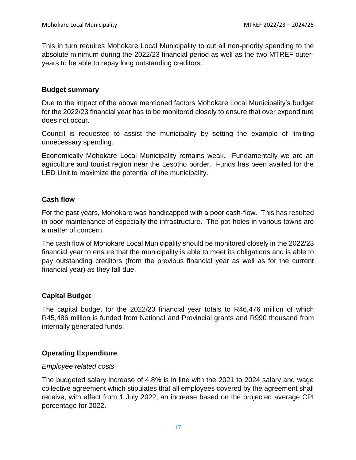This in turn requires Mohokare Local Municipality to cut all non-priority spending to the absolute minimum during the 2022/23 financial period as well as the two MTREF outeryears to be able to repay long outstanding creditors.

#### **Budget summary**

Due to the impact of the above mentioned factors Mohokare Local Municipality's budget for the 2022/23 financial year has to be monitored closely to ensure that over expenditure does not occur.

Council is requested to assist the municipality by setting the example of limiting unnecessary spending.

Economically Mohokare Local Municipality remains weak. Fundamentally we are an agriculture and tourist region near the Lesotho border. Funds has been availed for the LED Unit to maximize the potential of the municipality.

#### **Cash flow**

For the past years, Mohokare was handicapped with a poor cash-flow. This has resulted in poor maintenance of especially the infrastructure. The pot-holes in various towns are a matter of concern.

The cash flow of Mohokare Local Municipality should be monitored closely in the 2022/23 financial year to ensure that the municipality is able to meet its obligations and is able to pay outstanding creditors (from the previous financial year as well as for the current financial year) as they fall due.

#### **Capital Budget**

The capital budget for the 2022/23 financial year totals to R46,476 million of which R45,486 million is funded from National and Provincial grants and R990 thousand from internally generated funds.

#### **Operating Expenditure**

#### *Employee related costs*

The budgeted salary increase of 4,8% is in line with the 2021 to 2024 salary and wage collective agreement which stipulates that all employees covered by the agreement shall receive, with effect from 1 July 2022, an increase based on the projected average CPI percentage for 2022.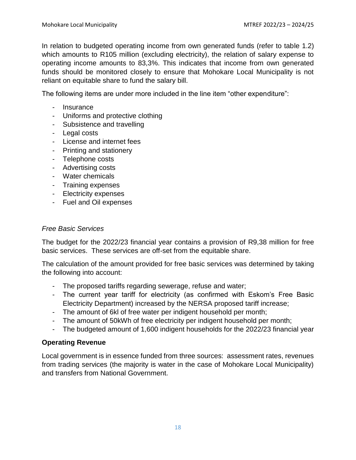In relation to budgeted operating income from own generated funds (refer to table 1.2) which amounts to R105 million (excluding electricity), the relation of salary expense to operating income amounts to 83,3%. This indicates that income from own generated funds should be monitored closely to ensure that Mohokare Local Municipality is not reliant on equitable share to fund the salary bill.

The following items are under more included in the line item "other expenditure":

- Insurance
- Uniforms and protective clothing
- Subsistence and travelling
- Legal costs
- License and internet fees
- Printing and stationery
- Telephone costs
- Advertising costs
- Water chemicals
- Training expenses
- Electricity expenses
- Fuel and Oil expenses

#### *Free Basic Services*

The budget for the 2022/23 financial year contains a provision of R9,38 million for free basic services. These services are off-set from the equitable share.

The calculation of the amount provided for free basic services was determined by taking the following into account:

- The proposed tariffs regarding sewerage, refuse and water;
- The current year tariff for electricity (as confirmed with Eskom's Free Basic Electricity Department) increased by the NERSA proposed tariff increase;
- The amount of 6kl of free water per indigent household per month;
- The amount of 50kWh of free electricity per indigent household per month;
- The budgeted amount of 1,600 indigent households for the 2022/23 financial year

#### **Operating Revenue**

Local government is in essence funded from three sources: assessment rates, revenues from trading services (the majority is water in the case of Mohokare Local Municipality) and transfers from National Government.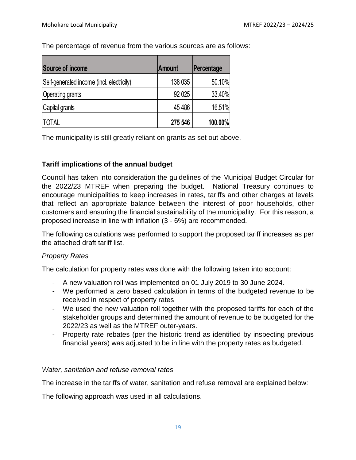The percentage of revenue from the various sources are as follows:

| Source of income                          | <b>Amount</b> | Percentage |
|-------------------------------------------|---------------|------------|
| Self-generated income (incl. electricity) | 138 035       | 50.10%     |
| Operating grants                          | 92 0 25       | 33.40%     |
| Capital grants                            | 45 4 86       | 16.51%     |
| <b>TOTAL</b>                              | 275 546       | 100.00%    |

The municipality is still greatly reliant on grants as set out above.

## **Tariff implications of the annual budget**

Council has taken into consideration the guidelines of the Municipal Budget Circular for the 2022/23 MTREF when preparing the budget. National Treasury continues to encourage municipalities to keep increases in rates, tariffs and other charges at levels that reflect an appropriate balance between the interest of poor households, other customers and ensuring the financial sustainability of the municipality. For this reason, a proposed increase in line with inflation (3 - 6%) are recommended.

The following calculations was performed to support the proposed tariff increases as per the attached draft tariff list.

## *Property Rates*

The calculation for property rates was done with the following taken into account:

- A new valuation roll was implemented on 01 July 2019 to 30 June 2024.
- We performed a zero based calculation in terms of the budgeted revenue to be received in respect of property rates
- We used the new valuation roll together with the proposed tariffs for each of the stakeholder groups and determined the amount of revenue to be budgeted for the 2022/23 as well as the MTREF outer-years.
- Property rate rebates (per the historic trend as identified by inspecting previous financial years) was adjusted to be in line with the property rates as budgeted.

#### *Water, sanitation and refuse removal rates*

The increase in the tariffs of water, sanitation and refuse removal are explained below:

The following approach was used in all calculations.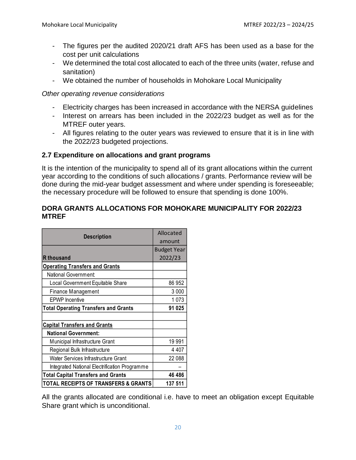- The figures per the audited 2020/21 draft AFS has been used as a base for the cost per unit calculations
- We determined the total cost allocated to each of the three units (water, refuse and sanitation)
- We obtained the number of households in Mohokare Local Municipality

#### *Other operating revenue considerations*

- Electricity charges has been increased in accordance with the NERSA guidelines
- Interest on arrears has been included in the 2022/23 budget as well as for the MTREF outer years.
- All figures relating to the outer years was reviewed to ensure that it is in line with the 2022/23 budgeted projections.

#### **2.7 Expenditure on allocations and grant programs**

It is the intention of the municipality to spend all of its grant allocations within the current year according to the conditions of such allocations / grants. Performance review will be done during the mid-year budget assessment and where under spending is foreseeable; the necessary procedure will be followed to ensure that spending is done 100%.

#### **DORA GRANTS ALLOCATIONS FOR MOHOKARE MUNICIPALITY FOR 2022/23 MTREF**

| <b>Description</b>                            | Allocated          |
|-----------------------------------------------|--------------------|
|                                               | amount             |
|                                               | <b>Budget Year</b> |
| <b>R</b> thousand                             | 2022/23            |
| <b>Operating Transfers and Grants</b>         |                    |
| National Government:                          |                    |
| Local Government Equitable Share              | 86 952             |
| <b>Finance Management</b>                     | 3 0 0 0            |
| <b>EPWP</b> Incentive                         | 1073               |
| <b>Total Operating Transfers and Grants</b>   | 91 025             |
|                                               |                    |
| <b>Capital Transfers and Grants</b>           |                    |
| <b>National Government:</b>                   |                    |
| Municipal Infrastructure Grant                | 19 991             |
| Regional Bulk Infrastructure                  | 4 4 0 7            |
| Water Services Infrastructure Grant           | 22 088             |
| Integrated National Electrification Programme |                    |
| <b>Total Capital Transfers and Grants</b>     | 46 486             |
| TOTAL RECEIPTS OF TRANSFERS & GRANTS          | 137 511            |

All the grants allocated are conditional i.e. have to meet an obligation except Equitable Share grant which is unconditional.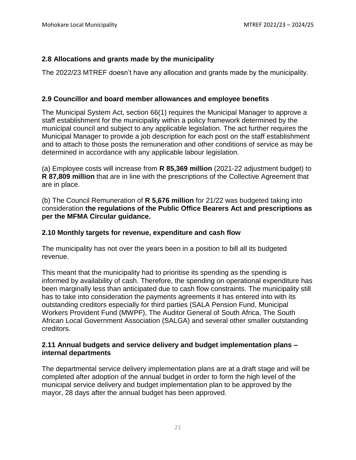## **2.8 Allocations and grants made by the municipality**

The 2022/23 MTREF doesn't have any allocation and grants made by the municipality.

## **2.9 Councillor and board member allowances and employee benefits**

The Municipal System Act, section 66(1) requires the Municipal Manager to approve a staff establishment for the municipality within a policy framework determined by the municipal council and subject to any applicable legislation. The act further requires the Municipal Manager to provide a job description for each post on the staff establishment and to attach to those posts the remuneration and other conditions of service as may be determined in accordance with any applicable labour legislation.

(a) Employee costs will increase from **R 85,369 million** (2021-22 adjustment budget) to **R 87,809 million** that are in line with the prescriptions of the Collective Agreement that are in place.

(b) The Council Remuneration of **R 5,676 million** for 21/22 was budgeted taking into consideration **the regulations of the Public Office Bearers Act and prescriptions as per the MFMA Circular guidance.** 

## **2.10 Monthly targets for revenue, expenditure and cash flow**

The municipality has not over the years been in a position to bill all its budgeted revenue.

This meant that the municipality had to prioritise its spending as the spending is informed by availability of cash. Therefore, the spending on operational expenditure has been marginally less than anticipated due to cash flow constraints. The municipality still has to take into consideration the payments agreements it has entered into with its outstanding creditors especially for third parties (SALA Pension Fund, Municipal Workers Provident Fund (MWPF), The Auditor General of South Africa, The South African Local Government Association (SALGA) and several other smaller outstanding creditors.

#### **2.11 Annual budgets and service delivery and budget implementation plans – internal departments**

The departmental service delivery implementation plans are at a draft stage and will be completed after adoption of the annual budget in order to form the high level of the municipal service delivery and budget implementation plan to be approved by the mayor, 28 days after the annual budget has been approved.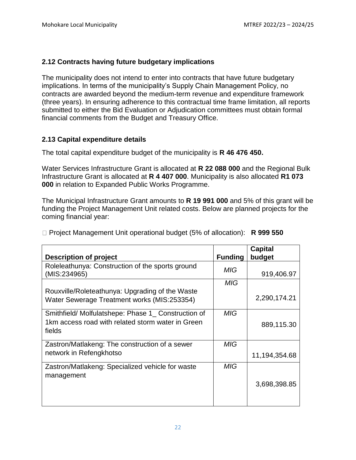## **2.12 Contracts having future budgetary implications**

The municipality does not intend to enter into contracts that have future budgetary implications. In terms of the municipality's Supply Chain Management Policy, no contracts are awarded beyond the medium-term revenue and expenditure framework (three years). In ensuring adherence to this contractual time frame limitation, all reports submitted to either the Bid Evaluation or Adjudication committees must obtain formal financial comments from the Budget and Treasury Office.

#### **2.13 Capital expenditure details**

The total capital expenditure budget of the municipality is **R 46 476 450.**

Water Services Infrastructure Grant is allocated at **R 22 088 000** and the Regional Bulk Infrastructure Grant is allocated at **R 4 407 000**. Municipality is also allocated **R1 073 000** in relation to Expanded Public Works Programme.

The Municipal Infrastructure Grant amounts to **R 19 991 000** and 5% of this grant will be funding the Project Management Unit related costs. Below are planned projects for the coming financial year:

□ Project Management Unit operational budget (5% of allocation): **R 999 550** 

|                                                                                                                   |                | <b>Capital</b> |
|-------------------------------------------------------------------------------------------------------------------|----------------|----------------|
| <b>Description of project</b>                                                                                     | <b>Funding</b> | budget         |
| Roleleathunya: Construction of the sports ground<br>(MIS:234965)                                                  | <b>MIG</b>     | 919,406.97     |
|                                                                                                                   | MIG            |                |
| Rouxville/Roleteathunya: Upgrading of the Waste<br>Water Sewerage Treatment works (MIS:253354)                    |                | 2,290,174.21   |
| Smithfield/Molfulatshepe: Phase 1_ Construction of<br>1km access road with related storm water in Green<br>fields | <b>MIG</b>     | 889,115.30     |
| Zastron/Matlakeng: The construction of a sewer                                                                    | <b>MIG</b>     |                |
| network in Refengkhotso                                                                                           |                | 11,194,354.68  |
| Zastron/Matlakeng: Specialized vehicle for waste<br>management                                                    | <b>MIG</b>     | 3,698,398.85   |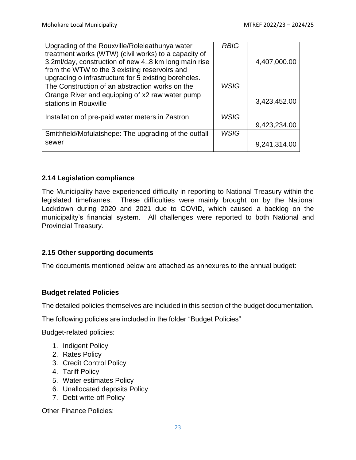| Upgrading of the Rouxville/Roleleathunya water<br>treatment works (WTW) (civil works) to a capacity of<br>3.2ml/day, construction of new 48 km long main rise<br>from the WTW to the 3 existing reservoirs and<br>upgrading o infrastructure for 5 existing boreholes. | <b>RBIG</b> | 4,407,000.00 |
|------------------------------------------------------------------------------------------------------------------------------------------------------------------------------------------------------------------------------------------------------------------------|-------------|--------------|
| The Construction of an abstraction works on the                                                                                                                                                                                                                        | <b>WSIG</b> |              |
| Orange River and equipping of x2 raw water pump<br>stations in Rouxville                                                                                                                                                                                               |             | 3,423,452.00 |
| Installation of pre-paid water meters in Zastron                                                                                                                                                                                                                       | <b>WSIG</b> |              |
|                                                                                                                                                                                                                                                                        |             | 9,423,234.00 |
| Smithfield/Mofulatshepe: The upgrading of the outfall                                                                                                                                                                                                                  | <b>WSIG</b> |              |
| sewer                                                                                                                                                                                                                                                                  |             | 9,241,314.00 |

#### **2.14 Legislation compliance**

The Municipality have experienced difficulty in reporting to National Treasury within the legislated timeframes. These difficulties were mainly brought on by the National Lockdown during 2020 and 2021 due to COVID, which caused a backlog on the municipality's financial system. All challenges were reported to both National and Provincial Treasury.

#### **2.15 Other supporting documents**

The documents mentioned below are attached as annexures to the annual budget:

#### **Budget related Policies**

The detailed policies themselves are included in this section of the budget documentation.

The following policies are included in the folder "Budget Policies"

Budget-related policies:

- 1. Indigent Policy
- 2. Rates Policy
- 3. Credit Control Policy
- 4. Tariff Policy
- 5. Water estimates Policy
- 6. Unallocated deposits Policy
- 7. Debt write-off Policy

Other Finance Policies: